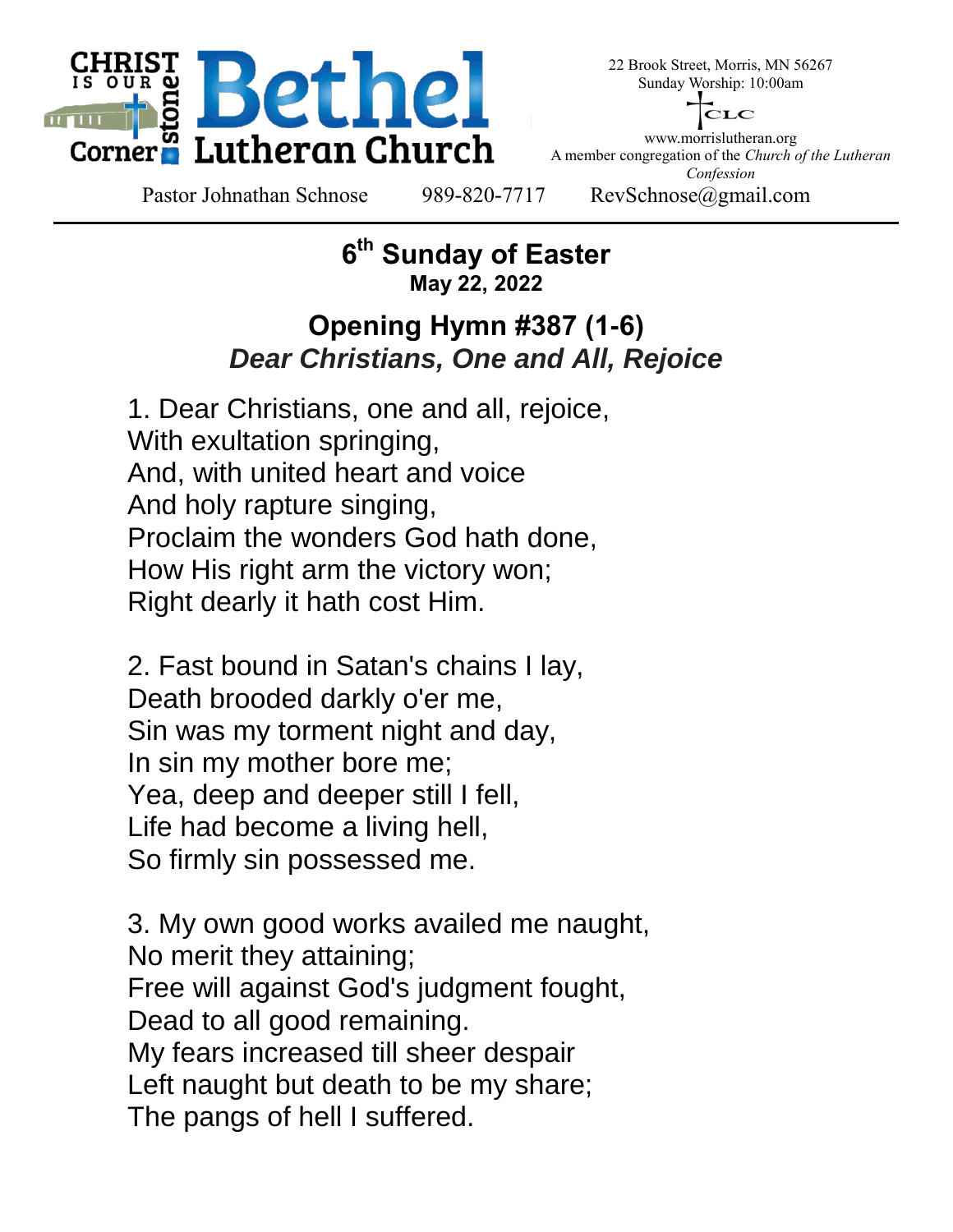

22 Brook Street, Morris, MN 56267 Sunday Worship: 10:00am



www.morrislutheran.org A member congregation of the *Church of the Lutheran Confession*

Pastor Johnathan Schnose 989-820-7717 RevSchnose@gmail.com

#### **6 th Sunday of Easter May 22, 2022**

## **Opening Hymn #387 (1-6)** *Dear Christians, One and All, Rejoice*

1. Dear Christians, one and all, rejoice, With exultation springing, And, with united heart and voice And holy rapture singing, Proclaim the wonders God hath done, How His right arm the victory won; Right dearly it hath cost Him.

2. Fast bound in Satan's chains I lay, Death brooded darkly o'er me, Sin was my torment night and day, In sin my mother bore me; Yea, deep and deeper still I fell, Life had become a living hell, So firmly sin possessed me.

3. My own good works availed me naught, No merit they attaining; Free will against God's judgment fought, Dead to all good remaining. My fears increased till sheer despair Left naught but death to be my share; The pangs of hell I suffered.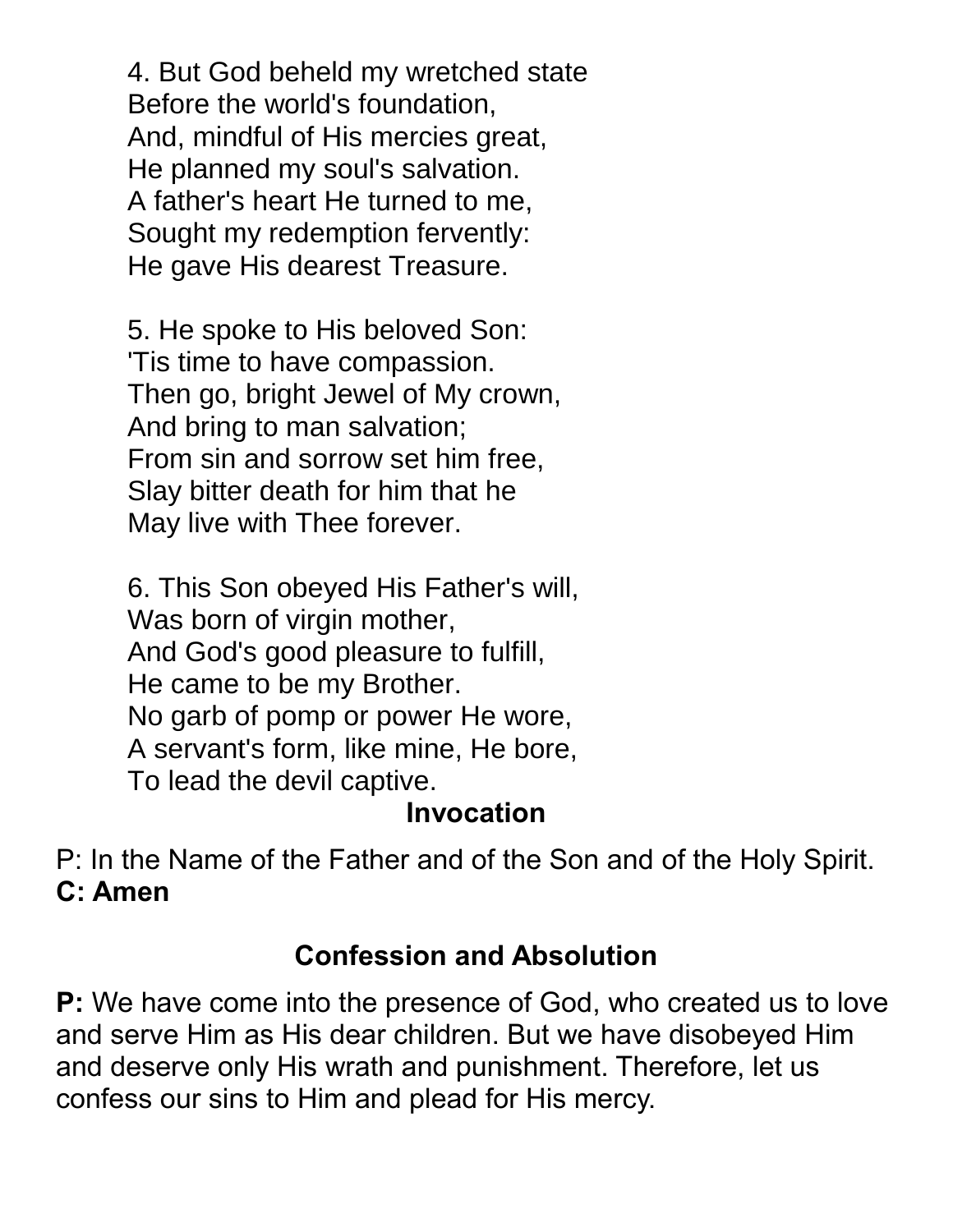4. But God beheld my wretched state Before the world's foundation, And, mindful of His mercies great, He planned my soul's salvation. A father's heart He turned to me, Sought my redemption fervently: He gave His dearest Treasure.

5. He spoke to His beloved Son: 'Tis time to have compassion. Then go, bright Jewel of My crown, And bring to man salvation; From sin and sorrow set him free, Slay bitter death for him that he May live with Thee forever.

6. This Son obeyed His Father's will, Was born of virgin mother, And God's good pleasure to fulfill, He came to be my Brother. No garb of pomp or power He wore, A servant's form, like mine, He bore, To lead the devil captive.

### **Invocation**

P: In the Name of the Father and of the Son and of the Holy Spirit. **C: Amen**

## **Confession and Absolution**

**P:** We have come into the presence of God, who created us to love and serve Him as His dear children. But we have disobeyed Him and deserve only His wrath and punishment. Therefore, let us confess our sins to Him and plead for His mercy.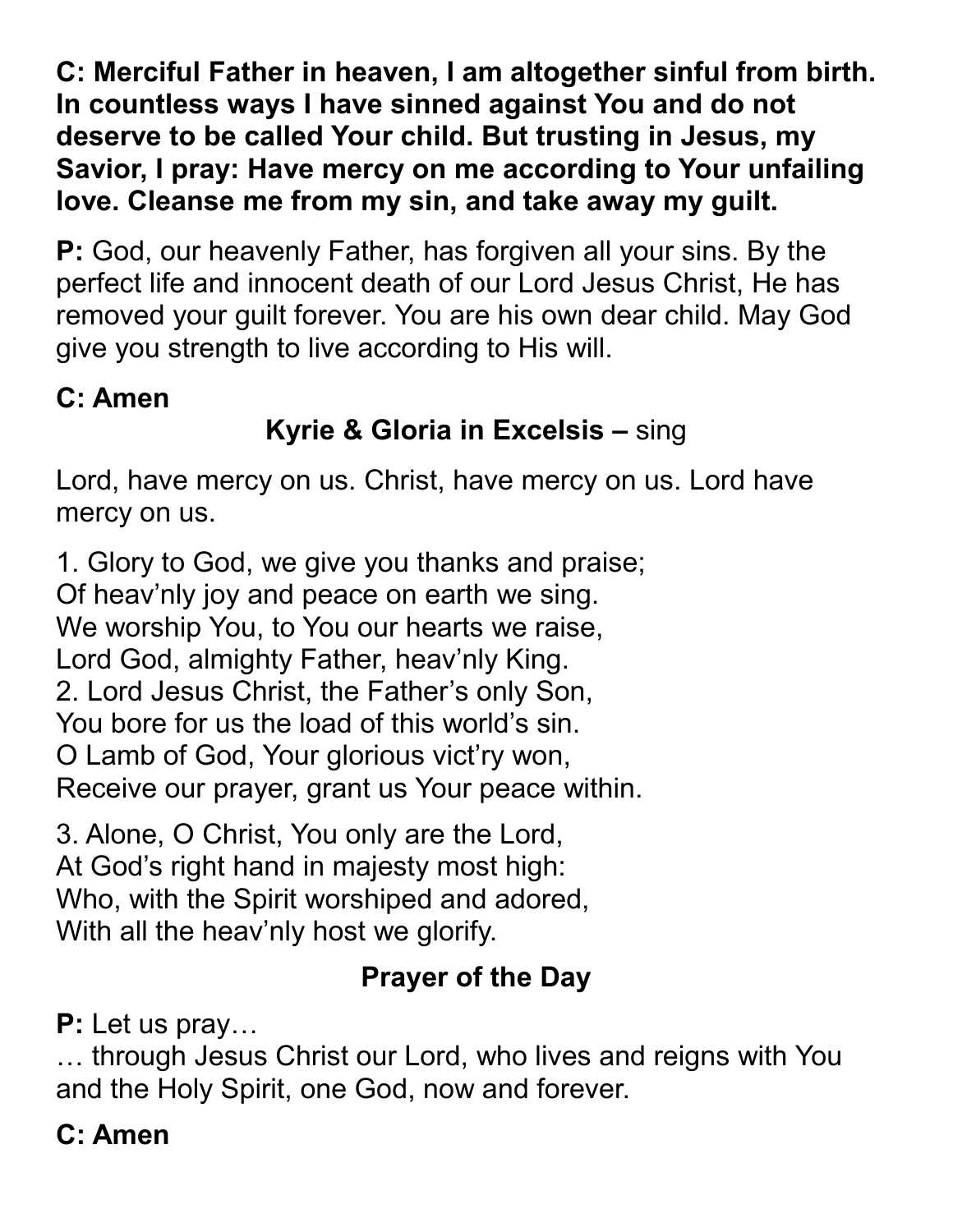**C: Merciful Father in heaven, I am altogether sinful from birth. In countless ways I have sinned against You and do not deserve to be called Your child. But trusting in Jesus, my Savior, I pray: Have mercy on me according to Your unfailing love. Cleanse me from my sin, and take away my guilt.**

**P:** God, our heavenly Father, has forgiven all your sins. By the perfect life and innocent death of our Lord Jesus Christ, He has removed your guilt forever. You are his own dear child. May God give you strength to live according to His will.

## **C: Amen**

# **Kyrie & Gloria in Excelsis –** sing

Lord, have mercy on us. Christ, have mercy on us. Lord have mercy on us.

1. Glory to God, we give you thanks and praise; Of heav'nly joy and peace on earth we sing. We worship You, to You our hearts we raise, Lord God, almighty Father, heav'nly King. 2. Lord Jesus Christ, the Father's only Son, You bore for us the load of this world's sin. O Lamb of God, Your glorious vict'ry won, Receive our prayer, grant us Your peace within.

3. Alone, O Christ, You only are the Lord, At God's right hand in majesty most high: Who, with the Spirit worshiped and adored, With all the heav'nly host we glorify.

# **Prayer of the Day**

**P:** Let us pray…

… through Jesus Christ our Lord, who lives and reigns with You and the Holy Spirit, one God, now and forever.

# **C: Amen**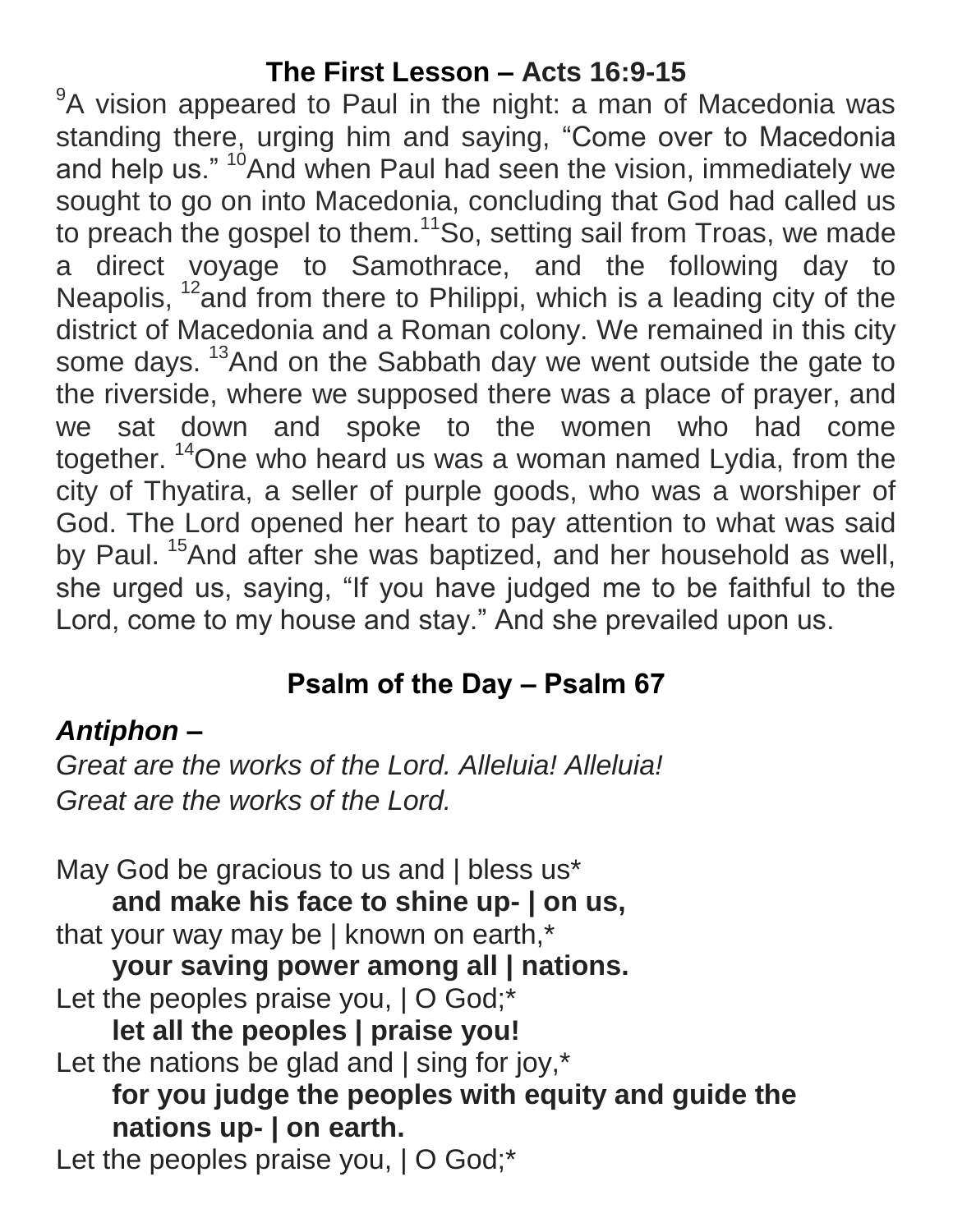## **The First Lesson – Acts 16:9-15**

<sup>9</sup>A vision appeared to Paul in the night: a man of Macedonia was standing there, urging him and saying, "Come over to Macedonia and help us." <sup>10</sup>And when Paul had seen the vision, immediately we sought to go on into Macedonia, concluding that God had called us to preach the gospel to them.<sup>11</sup>So, setting sail from Troas, we made a direct voyage to Samothrace, and the following day to Neapolis,  $12$  and from there to Philippi, which is a leading city of the district of Macedonia and a Roman colony. We remained in this city some days. <sup>13</sup>And on the Sabbath day we went outside the gate to the riverside, where we supposed there was a place of prayer, and we sat down and spoke to the women who had come together. <sup>14</sup>One who heard us was a woman named Lydia, from the city of Thyatira, a seller of purple goods, who was a worshiper of God. The Lord opened her heart to pay attention to what was said by Paul.<sup>15</sup>And after she was baptized, and her household as well, she urged us, saying, "If you have judged me to be faithful to the Lord, come to my house and stay." And she prevailed upon us.

# **Psalm of the Day – Psalm 67**

# *Antiphon –*

*Great are the works of the Lord. Alleluia! Alleluia! Great are the works of the Lord.*

May God be gracious to us and | bless us\* **and make his face to shine up- | on us,** that your way may be | known on earth,\* **your saving power among all | nations.** Let the peoples praise you,  $\vert$  O God;\* **let all the peoples | praise you!** Let the nations be glad and | sing for joy,\* **for you judge the peoples with equity and guide the nations up- | on earth.** Let the peoples praise you,  $\vert$  O God;\*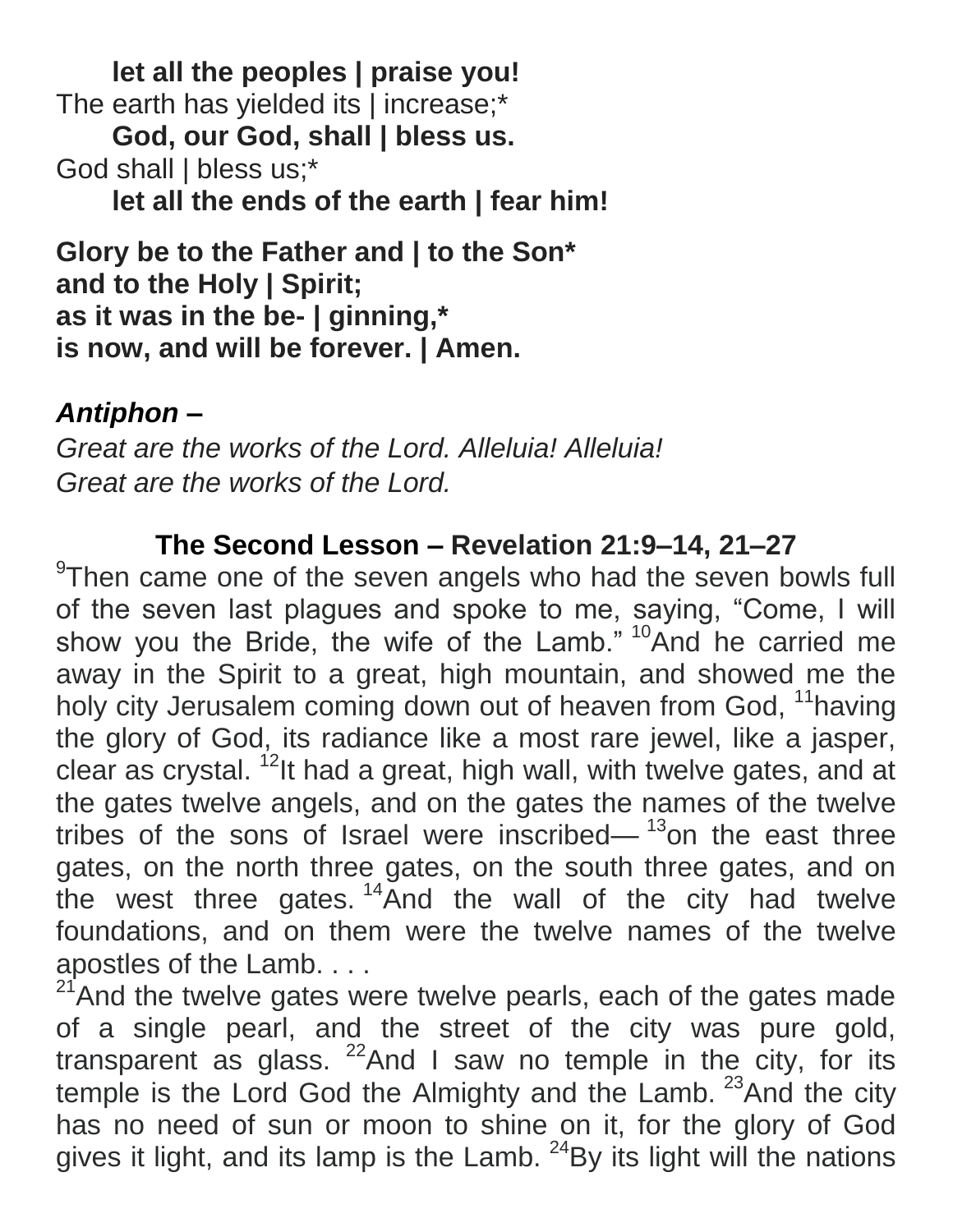**let all the peoples | praise you!** The earth has yielded its | increase;\* **God, our God, shall | bless us.** God shall | bless us;\* **let all the ends of the earth | fear him!**

**Glory be to the Father and | to the Son\* and to the Holy | Spirit; as it was in the be- | ginning,\* is now, and will be forever. | Amen.**

## *Antiphon –*

*Great are the works of the Lord. Alleluia! Alleluia! Great are the works of the Lord.*

## **The Second Lesson – Revelation 21:9–14, 21–27**

<sup>9</sup>Then came one of the seven angels who had the seven bowls full of the seven last plagues and spoke to me, saying, "Come, I will show you the Bride, the wife of the Lamb." <sup>10</sup>And he carried me away in the Spirit to a great, high mountain, and showed me the holy city Jerusalem coming down out of heaven from God, <sup>11</sup>having the glory of God, its radiance like a most rare jewel, like a jasper, clear as crystal. <sup>12</sup>It had a great, high wall, with twelve gates, and at the gates twelve angels, and on the gates the names of the twelve tribes of the sons of Israel were inscribed— $13$ on the east three gates, on the north three gates, on the south three gates, and on the west three gates.  $14\overline{A}$ nd the wall of the city had twelve foundations, and on them were the twelve names of the twelve apostles of the Lamb. . . .

<sup>21</sup>And the twelve gates were twelve pearls, each of the gates made of a single pearl, and the street of the city was pure gold, transparent as glass.  $22$ And I saw no temple in the city, for its temple is the Lord God the Almighty and the Lamb. <sup>23</sup>And the city has no need of sun or moon to shine on it, for the glory of God gives it light, and its lamp is the Lamb.  $24$ By its light will the nations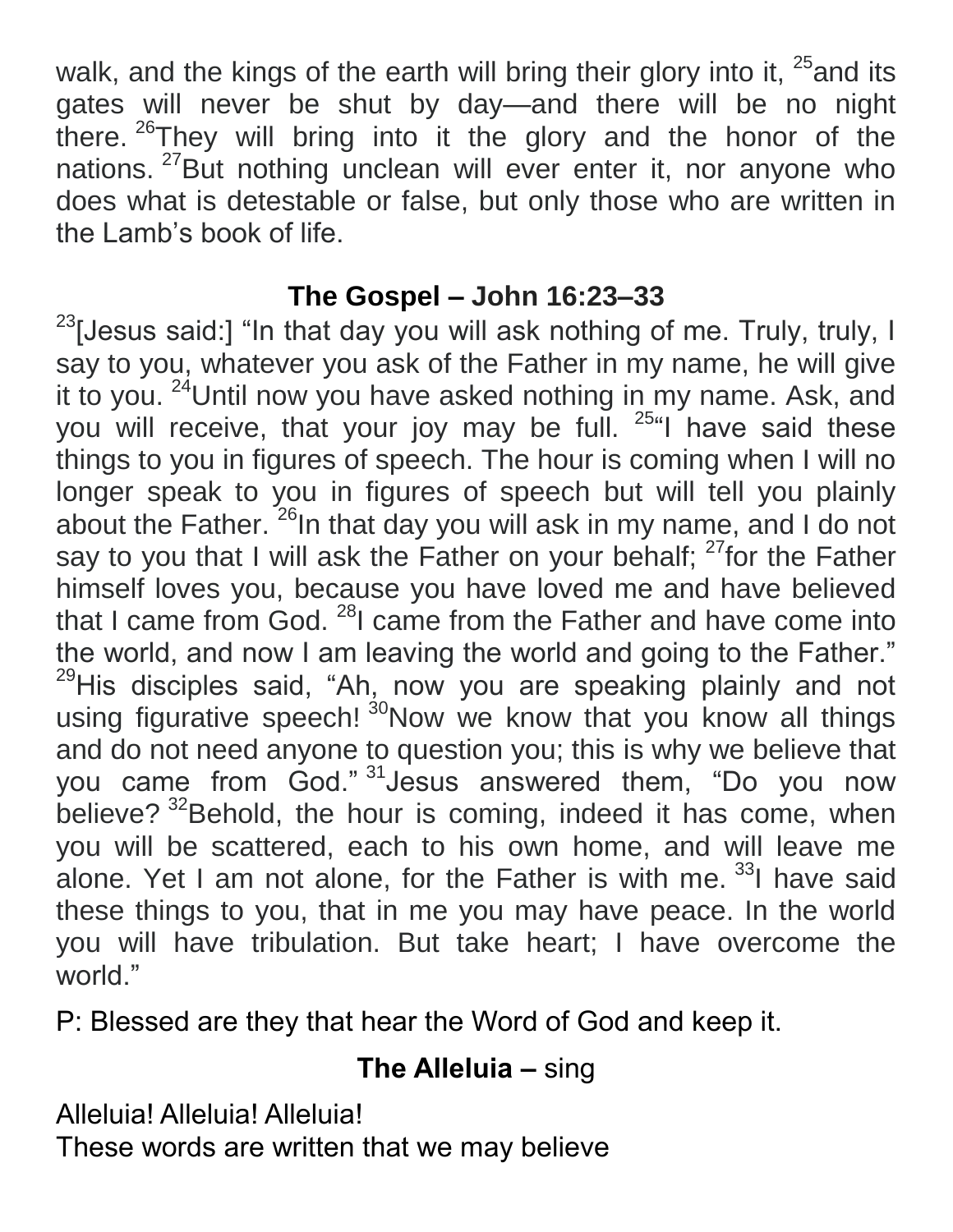walk, and the kings of the earth will bring their glory into it,  $25$  and its gates will never be shut by day—and there will be no night there. <sup>26</sup>They will bring into it the glory and the honor of the nations. <sup>27</sup>But nothing unclean will ever enter it, nor anyone who does what is detestable or false, but only those who are written in the Lamb's book of life.

## **The Gospel – John 16:23–33**

 $23$ [Jesus said:] "In that day you will ask nothing of me. Truly, truly, I say to you, whatever you ask of the Father in my name, he will give it to you. <sup>24</sup>Until now you have asked nothing in my name. Ask, and you will receive, that your joy may be full. <sup>25"</sup>I have said these things to you in figures of speech. The hour is coming when I will no longer speak to you in figures of speech but will tell you plainly about the Father.  $26$ In that day you will ask in my name, and I do not say to you that I will ask the Father on your behalf;  $27$  for the Father himself loves you, because you have loved me and have believed that I came from God. <sup>28</sup>I came from the Father and have come into the world, and now I am leaving the world and going to the Father." <sup>29</sup>His disciples said, "Ah, now you are speaking plainly and not using figurative speech! <sup>30</sup>Now we know that you know all things and do not need anyone to question you; this is why we believe that you came from God." <sup>31</sup>Jesus answered them, "Do you now believe? <sup>32</sup>Behold, the hour is coming, indeed it has come, when you will be scattered, each to his own home, and will leave me alone. Yet I am not alone, for the Father is with me. <sup>33</sup>I have said these things to you, that in me you may have peace. In the world you will have tribulation. But take heart; I have overcome the world."

P: Blessed are they that hear the Word of God and keep it.

# **The Alleluia –** sing

Alleluia! Alleluia! Alleluia!

These words are written that we may believe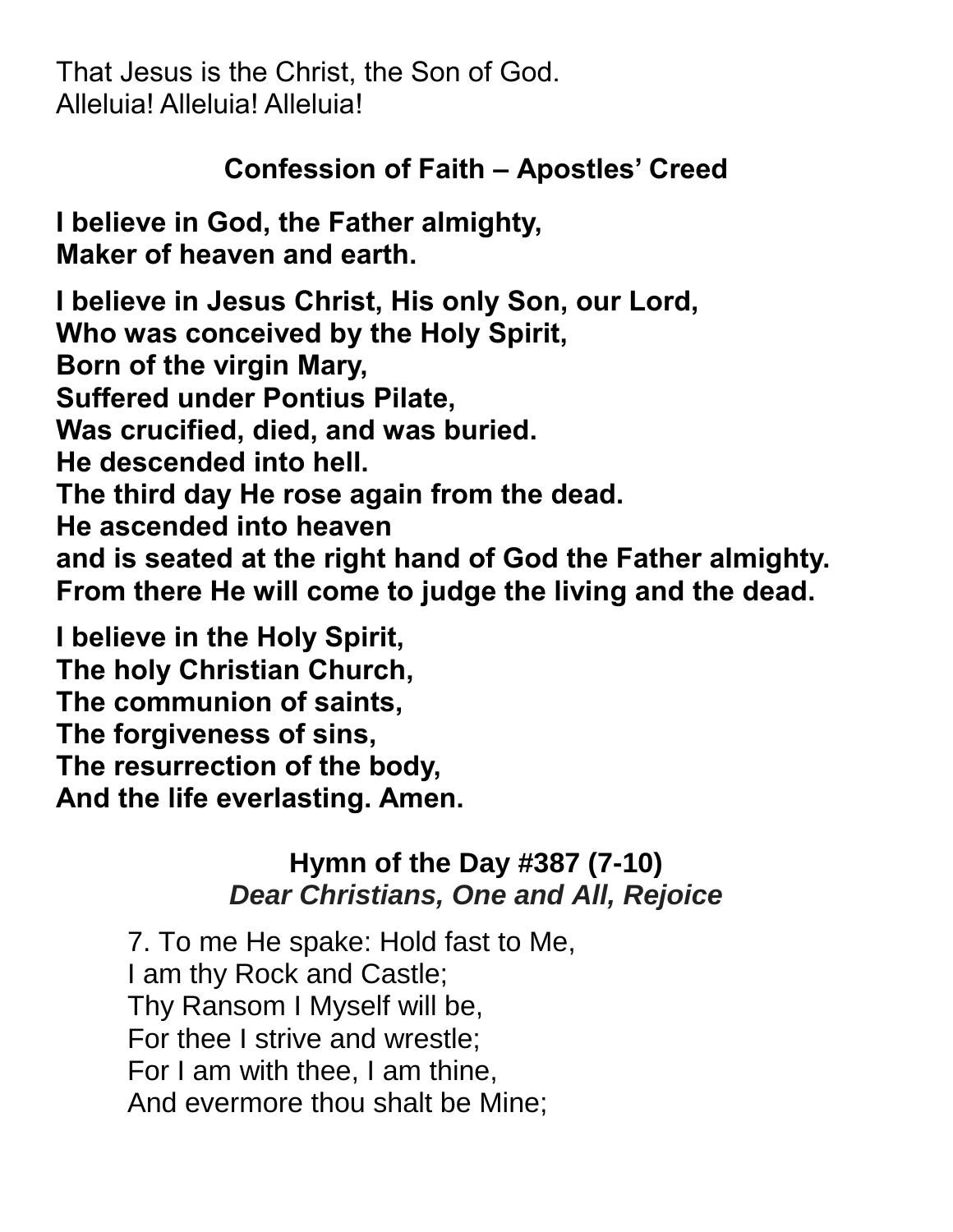That Jesus is the Christ, the Son of God. Alleluia! Alleluia! Alleluia!

## **Confession of Faith – Apostles' Creed**

**I believe in God, the Father almighty, Maker of heaven and earth.**

**I believe in Jesus Christ, His only Son, our Lord, Who was conceived by the Holy Spirit, Born of the virgin Mary, Suffered under Pontius Pilate, Was crucified, died, and was buried. He descended into hell. The third day He rose again from the dead. He ascended into heaven and is seated at the right hand of God the Father almighty. From there He will come to judge the living and the dead.**

**I believe in the Holy Spirit, The holy Christian Church, The communion of saints, The forgiveness of sins, The resurrection of the body, And the life everlasting. Amen.**

## **Hymn of the Day #387 (7-10)** *Dear Christians, One and All, Rejoice*

7. To me He spake: Hold fast to Me, I am thy Rock and Castle; Thy Ransom I Myself will be, For thee I strive and wrestle; For I am with thee, I am thine, And evermore thou shalt be Mine;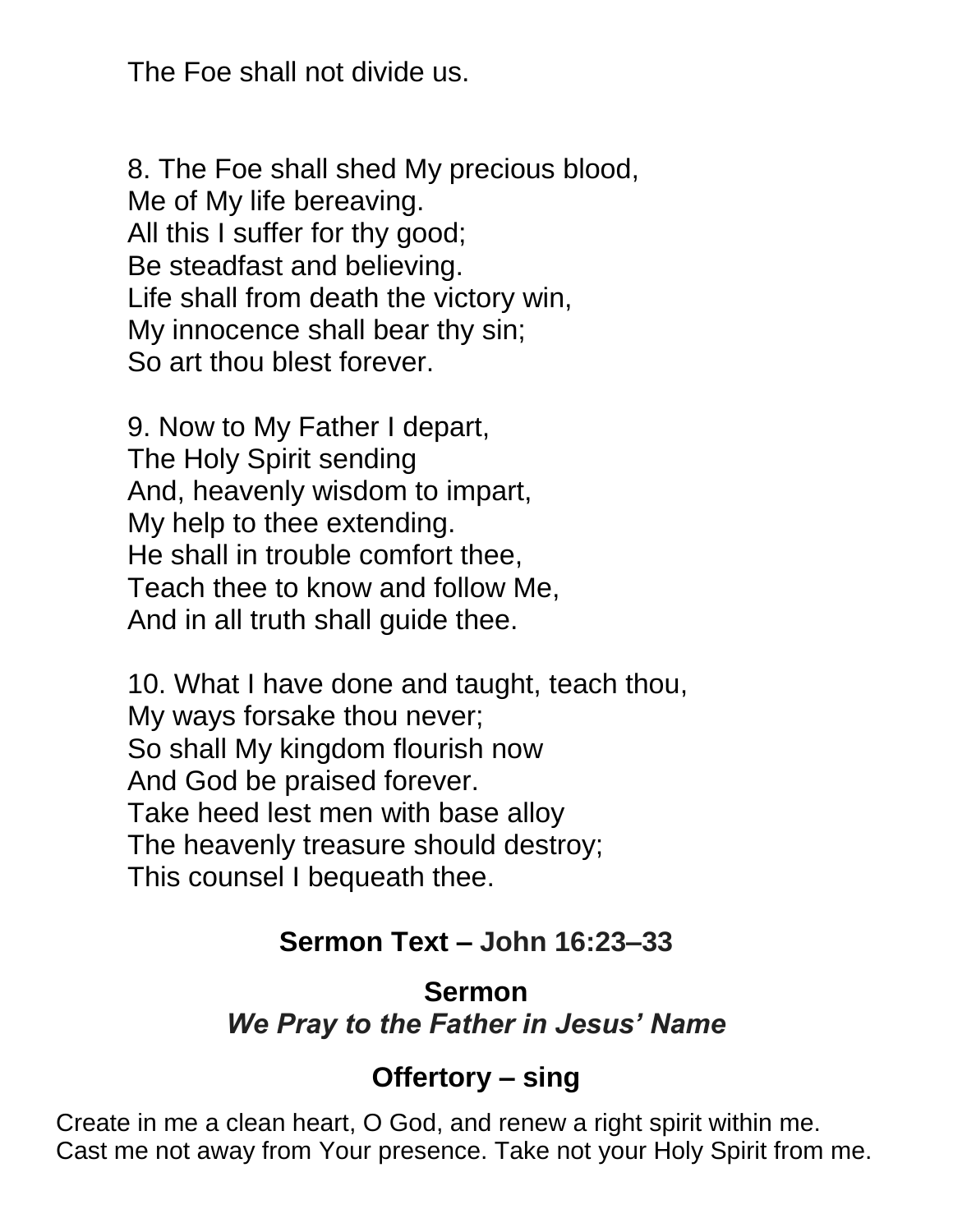The Foe shall not divide us.

8. The Foe shall shed My precious blood, Me of My life bereaving. All this I suffer for thy good; Be steadfast and believing. Life shall from death the victory win, My innocence shall bear thy sin; So art thou blest forever.

9. Now to My Father I depart, The Holy Spirit sending And, heavenly wisdom to impart, My help to thee extending. He shall in trouble comfort thee, Teach thee to know and follow Me, And in all truth shall guide thee.

10. What I have done and taught, teach thou, My ways forsake thou never; So shall My kingdom flourish now And God be praised forever. Take heed lest men with base alloy The heavenly treasure should destroy; This counsel I bequeath thee.

#### **Sermon Text – John 16:23–33**

#### **Sermon** *We Pray to the Father in Jesus' Name*

#### **Offertory – sing**

Create in me a clean heart, O God, and renew a right spirit within me. Cast me not away from Your presence. Take not your Holy Spirit from me.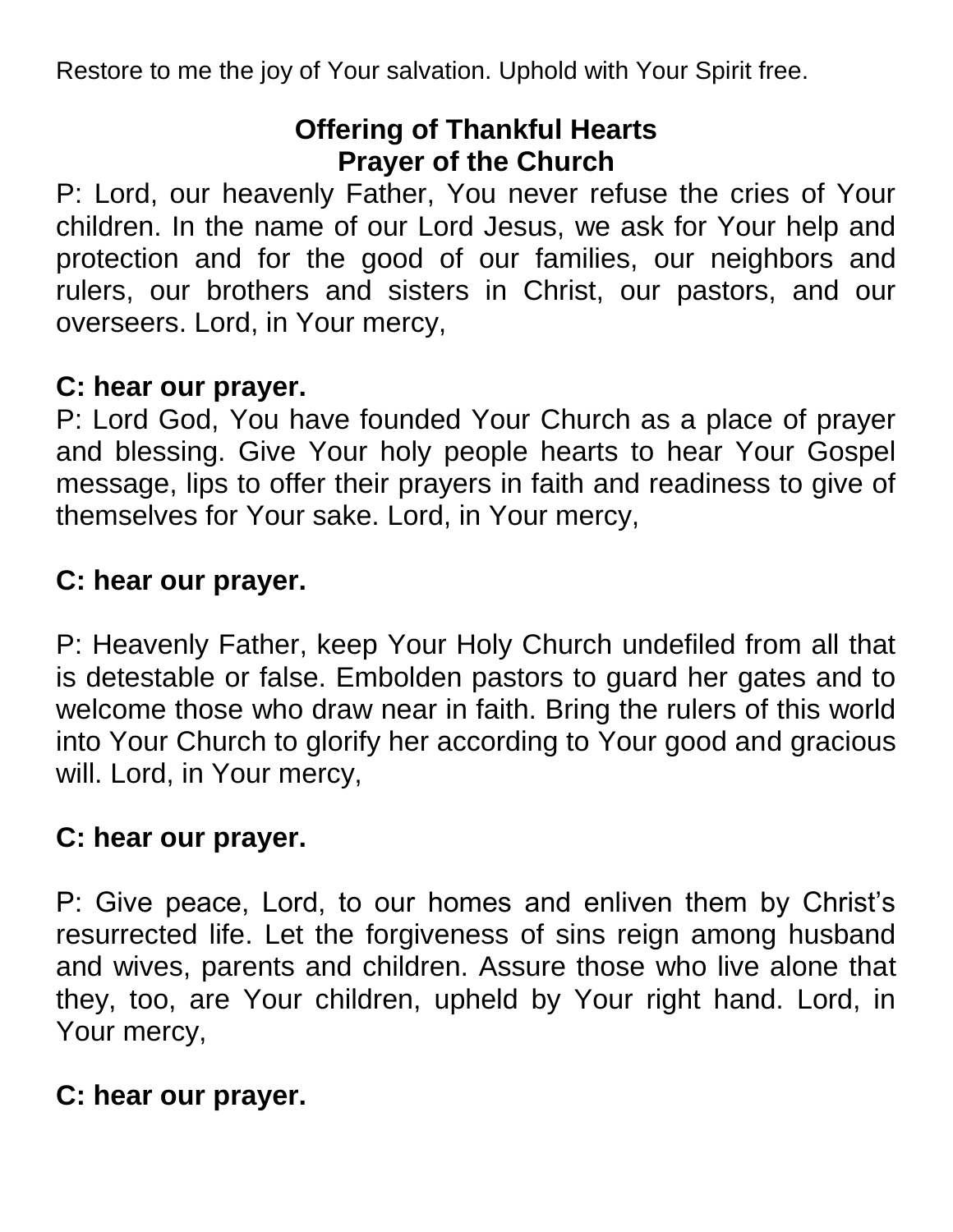Restore to me the joy of Your salvation. Uphold with Your Spirit free.

## **Offering of Thankful Hearts Prayer of the Church**

P: Lord, our heavenly Father, You never refuse the cries of Your children. In the name of our Lord Jesus, we ask for Your help and protection and for the good of our families, our neighbors and rulers, our brothers and sisters in Christ, our pastors, and our overseers. Lord, in Your mercy,

#### **C: hear our prayer.**

P: Lord God, You have founded Your Church as a place of prayer and blessing. Give Your holy people hearts to hear Your Gospel message, lips to offer their prayers in faith and readiness to give of themselves for Your sake. Lord, in Your mercy,

#### **C: hear our prayer.**

P: Heavenly Father, keep Your Holy Church undefiled from all that is detestable or false. Embolden pastors to guard her gates and to welcome those who draw near in faith. Bring the rulers of this world into Your Church to glorify her according to Your good and gracious will. Lord, in Your mercy,

#### **C: hear our prayer.**

P: Give peace, Lord, to our homes and enliven them by Christ's resurrected life. Let the forgiveness of sins reign among husband and wives, parents and children. Assure those who live alone that they, too, are Your children, upheld by Your right hand. Lord, in Your mercy,

#### **C: hear our prayer.**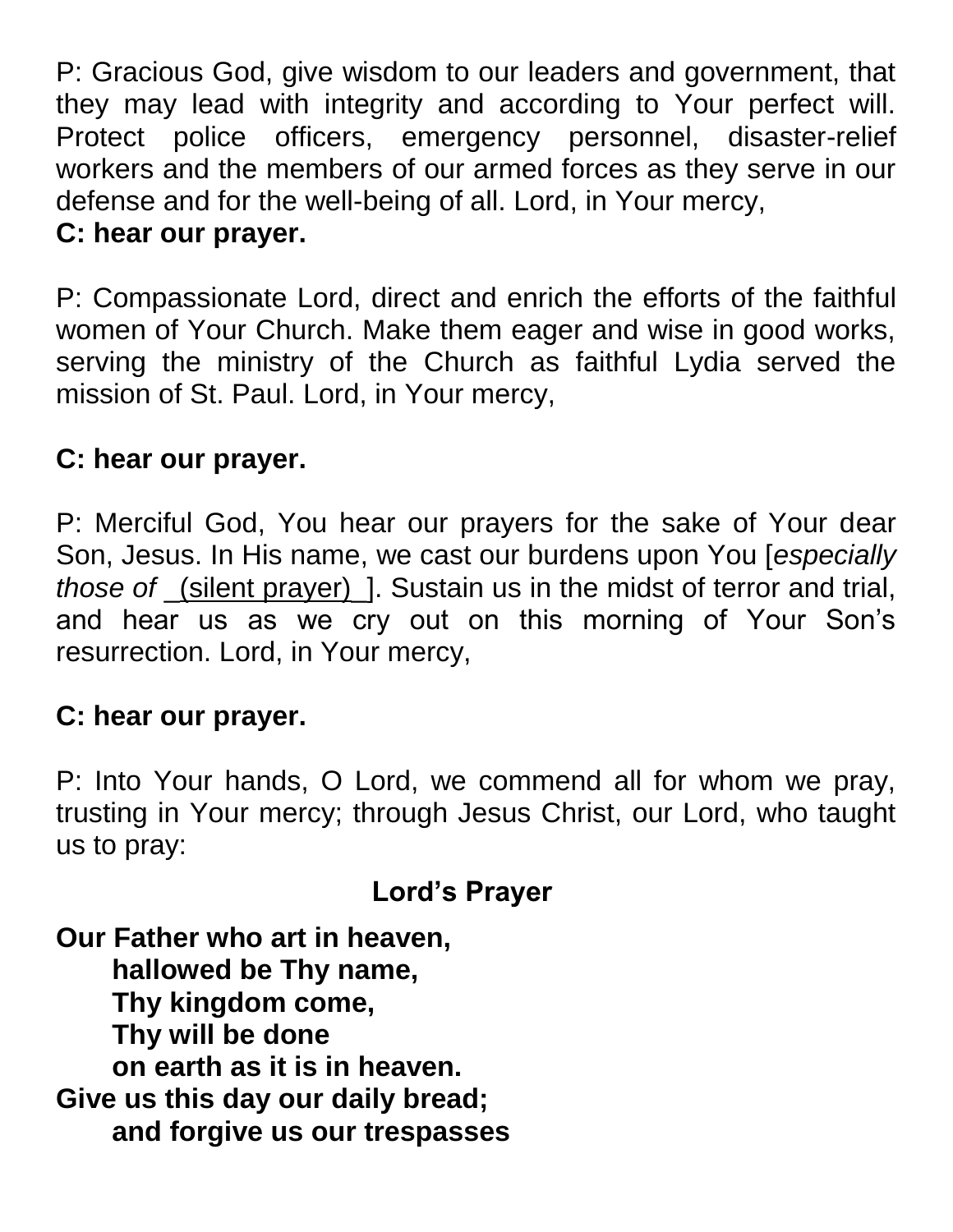P: Gracious God, give wisdom to our leaders and government, that they may lead with integrity and according to Your perfect will. Protect police officers, emergency personnel, disaster-relief workers and the members of our armed forces as they serve in our defense and for the well-being of all. Lord, in Your mercy, **C: hear our prayer.**

P: Compassionate Lord, direct and enrich the efforts of the faithful women of Your Church. Make them eager and wise in good works, serving the ministry of the Church as faithful Lydia served the mission of St. Paul. Lord, in Your mercy,

## **C: hear our prayer.**

P: Merciful God, You hear our prayers for the sake of Your dear Son, Jesus. In His name, we cast our burdens upon You [*especially those of* \_(silent prayer)\_]. Sustain us in the midst of terror and trial, and hear us as we cry out on this morning of Your Son's resurrection. Lord, in Your mercy,

### **C: hear our prayer.**

P: Into Your hands, O Lord, we commend all for whom we pray, trusting in Your mercy; through Jesus Christ, our Lord, who taught us to pray:

# **Lord's Prayer**

**Our Father who art in heaven, hallowed be Thy name, Thy kingdom come, Thy will be done on earth as it is in heaven. Give us this day our daily bread; and forgive us our trespasses**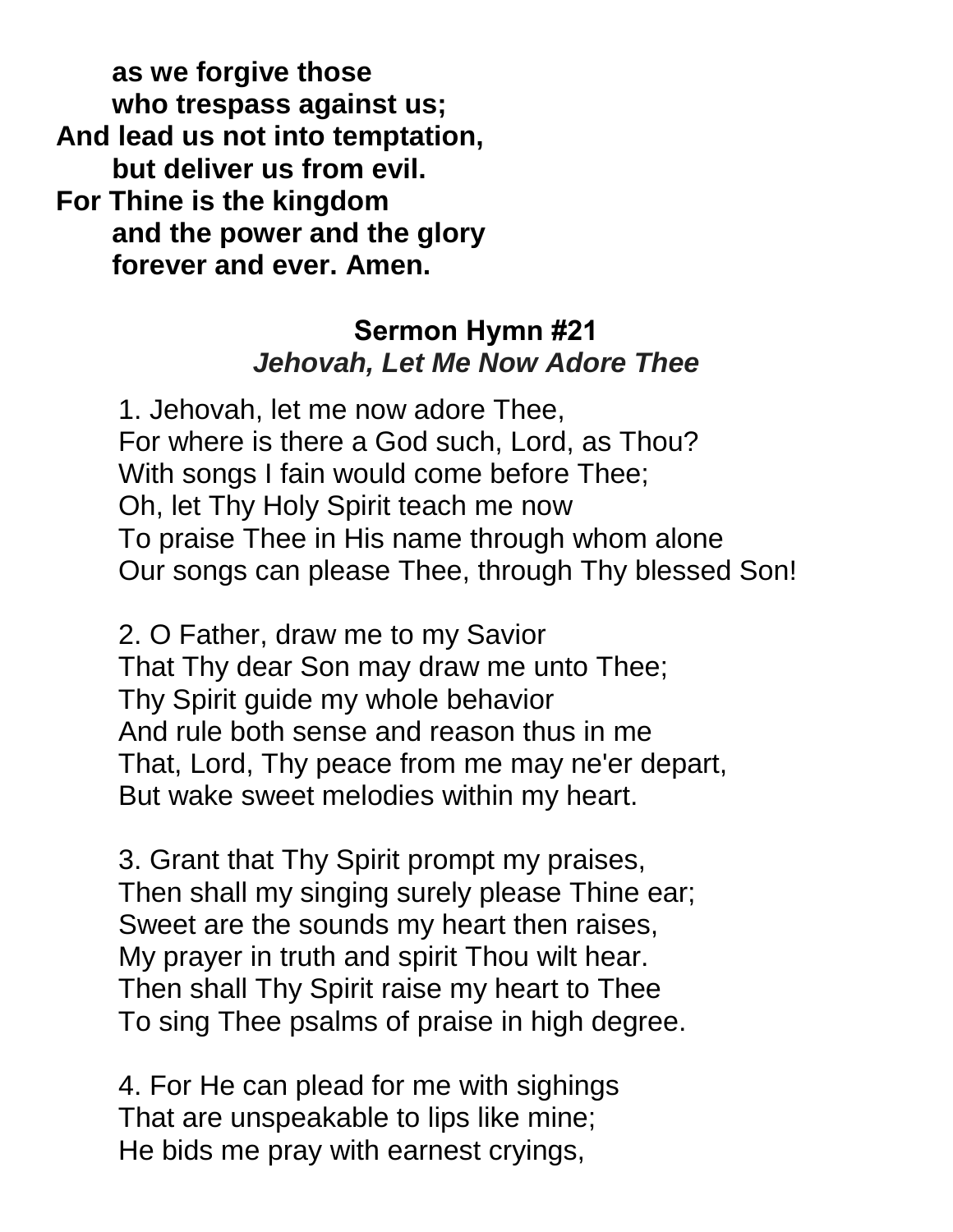**as we forgive those who trespass against us; And lead us not into temptation, but deliver us from evil. For Thine is the kingdom and the power and the glory forever and ever. Amen.**

## **Sermon Hymn #21** *Jehovah, Let Me Now Adore Thee*

 1. Jehovah, let me now adore Thee, For where is there a God such, Lord, as Thou? With songs I fain would come before Thee; Oh, let Thy Holy Spirit teach me now To praise Thee in His name through whom alone Our songs can please Thee, through Thy blessed Son!

 2. O Father, draw me to my Savior That Thy dear Son may draw me unto Thee; Thy Spirit guide my whole behavior And rule both sense and reason thus in me That, Lord, Thy peace from me may ne'er depart, But wake sweet melodies within my heart.

 3. Grant that Thy Spirit prompt my praises, Then shall my singing surely please Thine ear; Sweet are the sounds my heart then raises, My prayer in truth and spirit Thou wilt hear. Then shall Thy Spirit raise my heart to Thee To sing Thee psalms of praise in high degree.

 4. For He can plead for me with sighings That are unspeakable to lips like mine; He bids me pray with earnest cryings,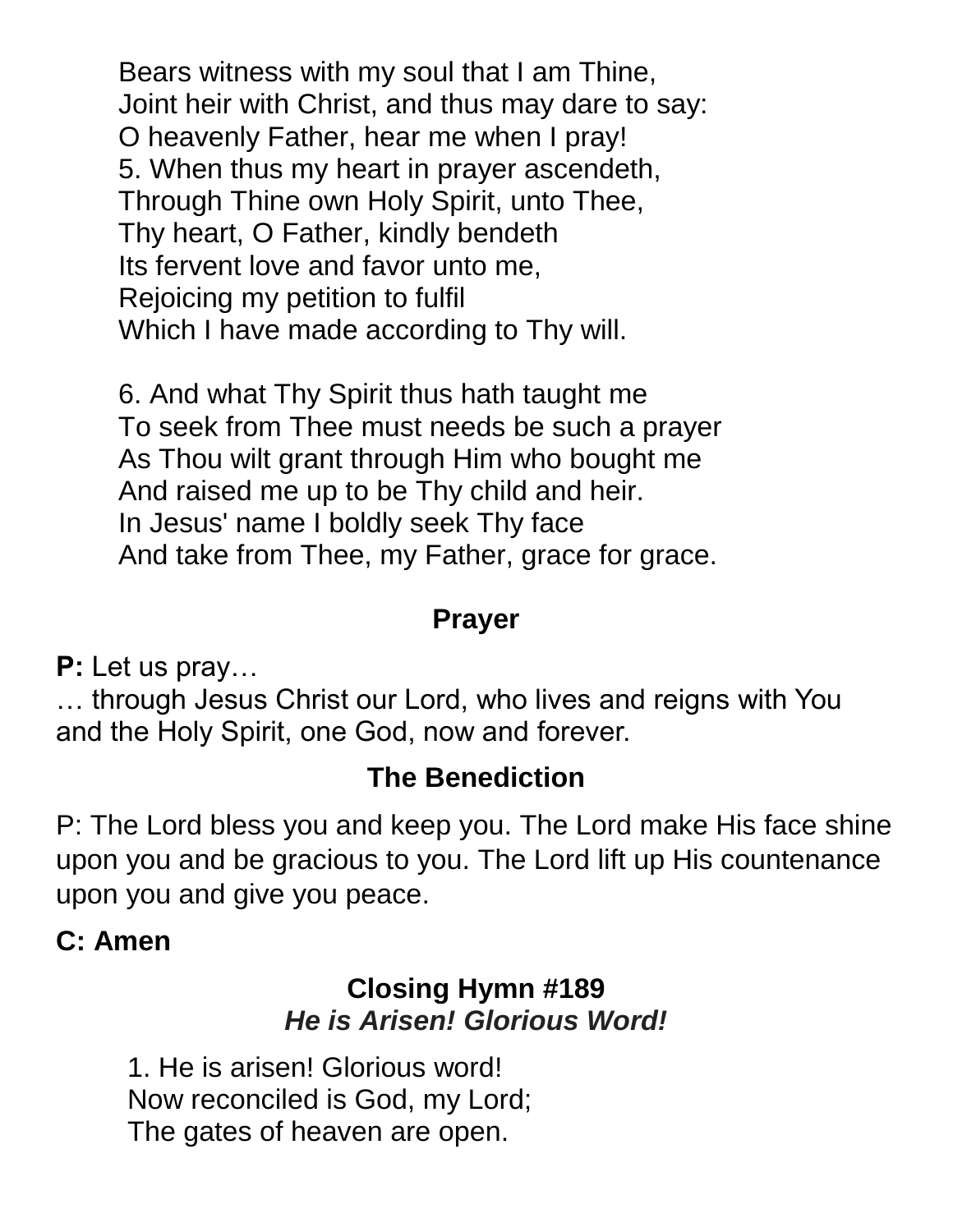Bears witness with my soul that I am Thine, Joint heir with Christ, and thus may dare to say: O heavenly Father, hear me when I pray! 5. When thus my heart in prayer ascendeth, Through Thine own Holy Spirit, unto Thee, Thy heart, O Father, kindly bendeth Its fervent love and favor unto me, Rejoicing my petition to fulfil Which I have made according to Thy will.

 6. And what Thy Spirit thus hath taught me To seek from Thee must needs be such a prayer As Thou wilt grant through Him who bought me And raised me up to be Thy child and heir. In Jesus' name I boldly seek Thy face And take from Thee, my Father, grace for grace.

### **Prayer**

**P:** Let us pray…

… through Jesus Christ our Lord, who lives and reigns with You and the Holy Spirit, one God, now and forever.

## **The Benediction**

P: The Lord bless you and keep you. The Lord make His face shine upon you and be gracious to you. The Lord lift up His countenance upon you and give you peace.

### **C: Amen**

## **Closing Hymn #189** *He is Arisen! Glorious Word!*

1. He is arisen! Glorious word! Now reconciled is God, my Lord; The gates of heaven are open.